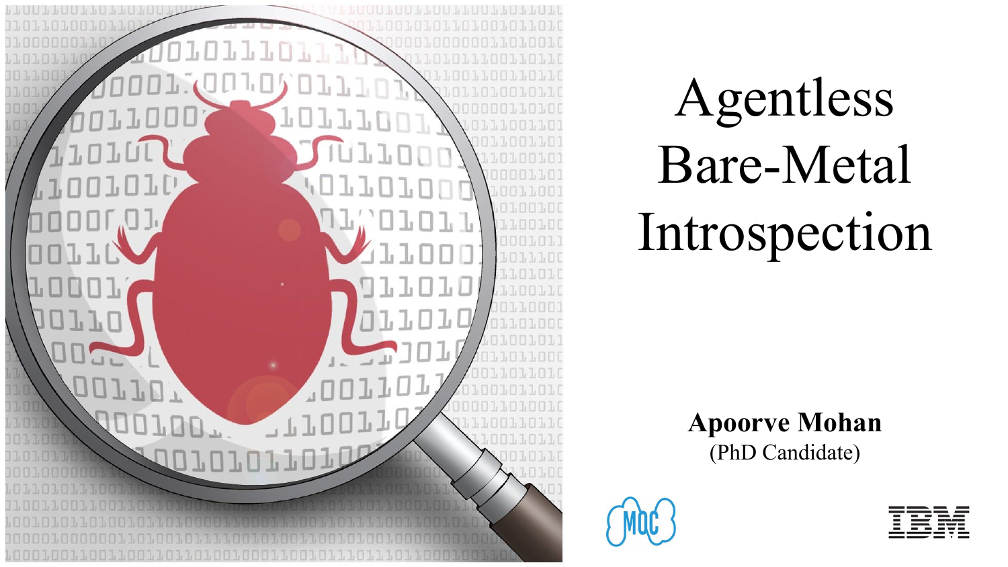

# Agentless Bare-Metal Introspection

**Apoorve Mohan** (PhD Candidate)



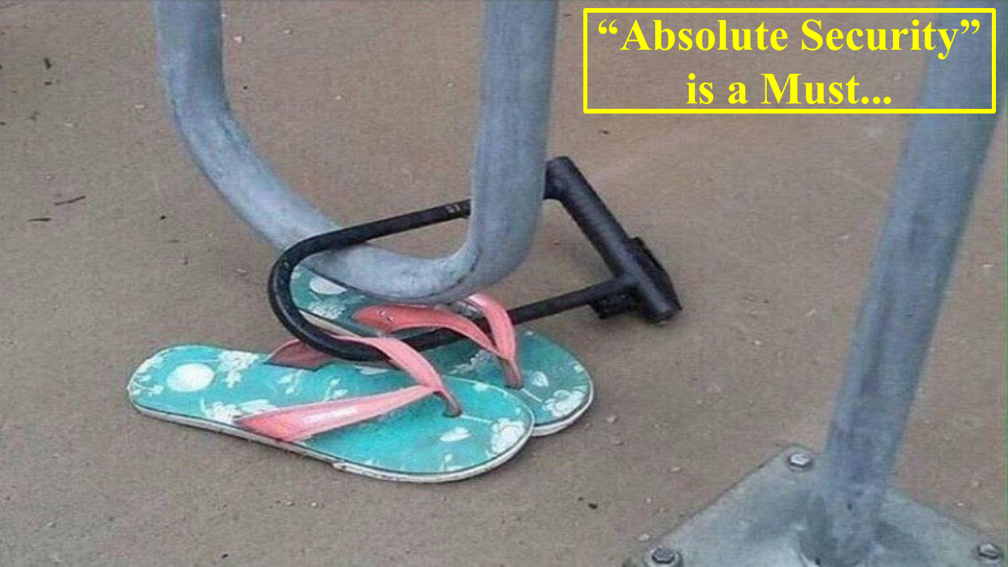## **"Absolute Security" is a Must...**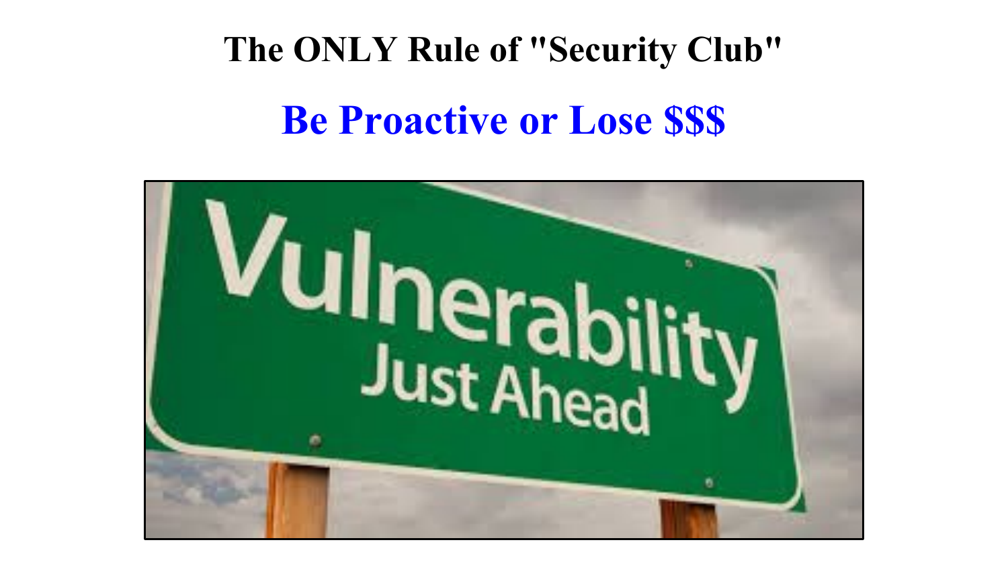# **The ONLY Rule of "Security Club" Be Proactive or Lose \$\$\$**

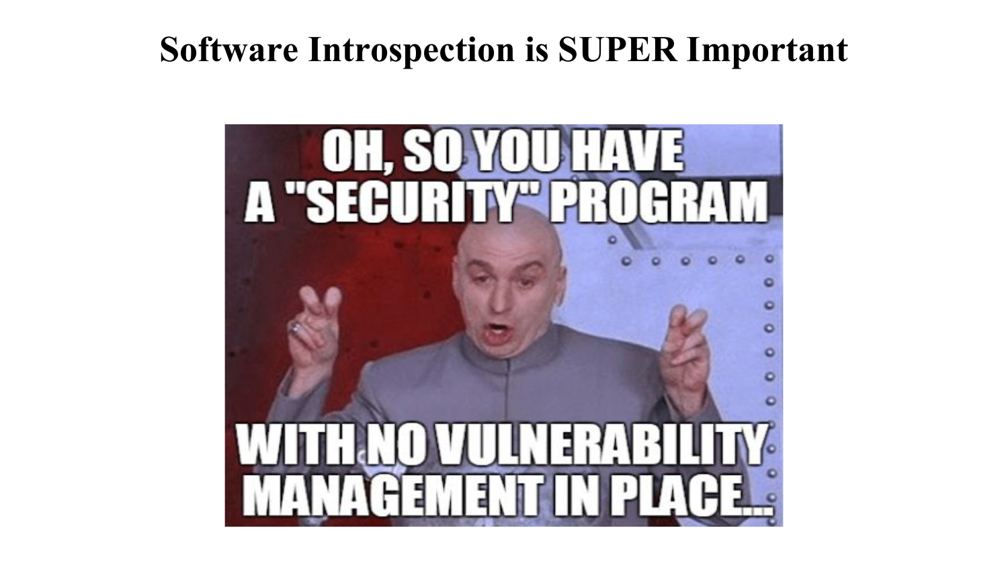#### **Software Introspection is SUPER Important**

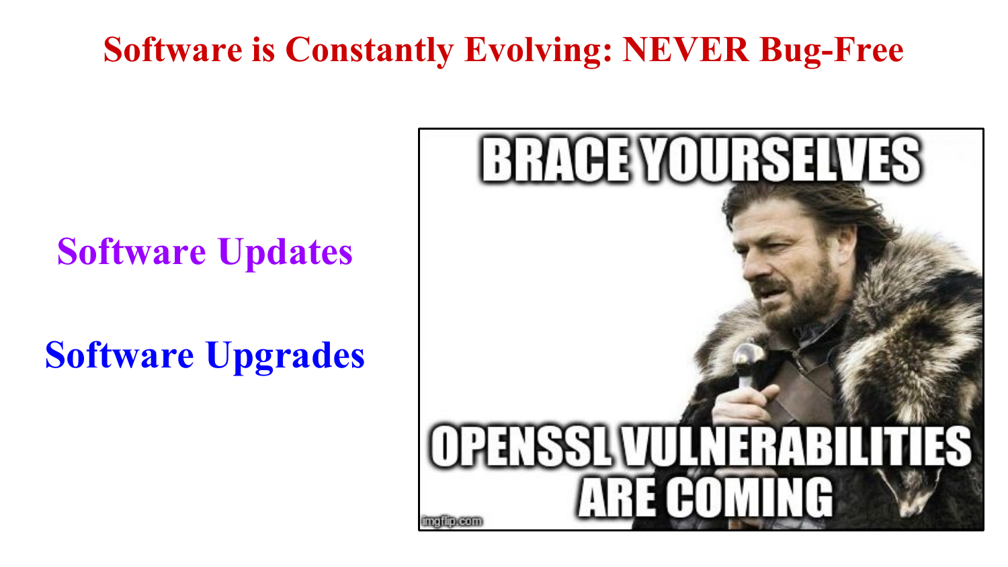#### **Software is Constantly Evolving: NEVER Bug-Free**

#### **Software Updates**

### **Software Upgrades**

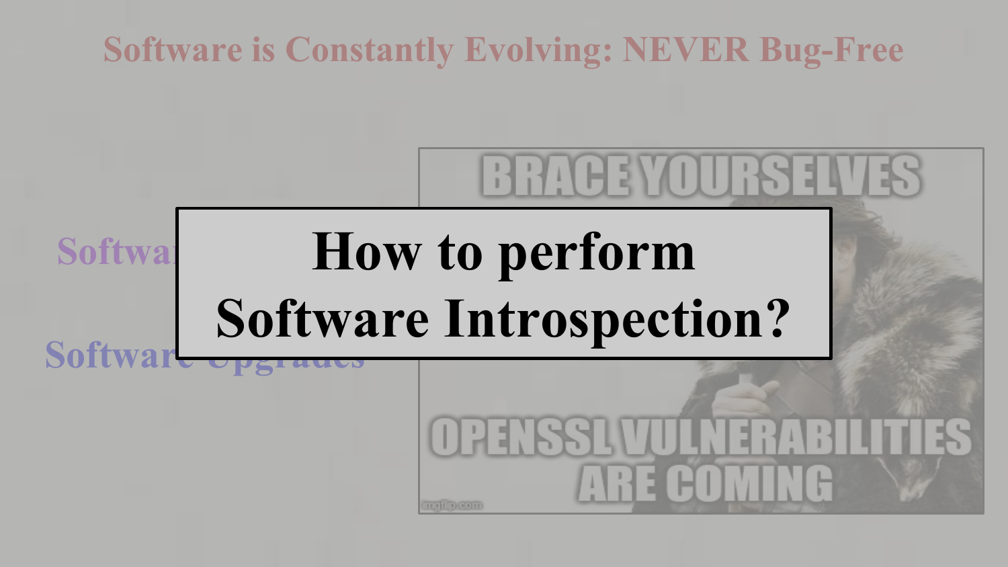## **Software is Constantly Evolving: NEVER Bug-Free BRACEYOURSELVI How to perform Softwa Software Introspection?Software** OPENSSEMI JUNEARA ARE COMIN **TELEVILLE**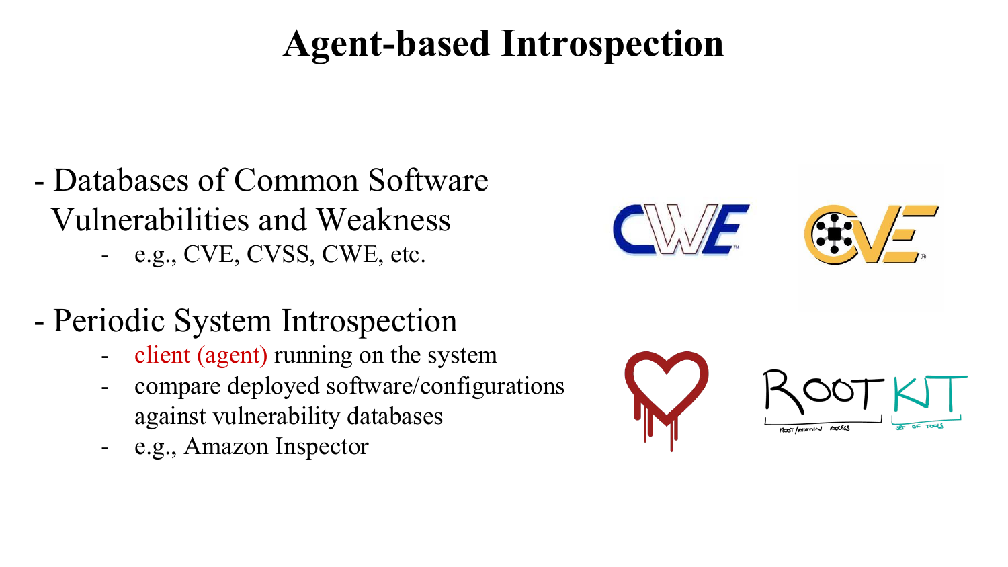### **Agent-based Introspection**

- Databases of Common Software Vulnerabilities and Weakness - e.g., CVE, CVSS, CWE, etc.
- Periodic System Introspection
	- client (agent) running on the system
	- compare deployed software/configurations against vulnerability databases
	- e.g., Amazon Inspector



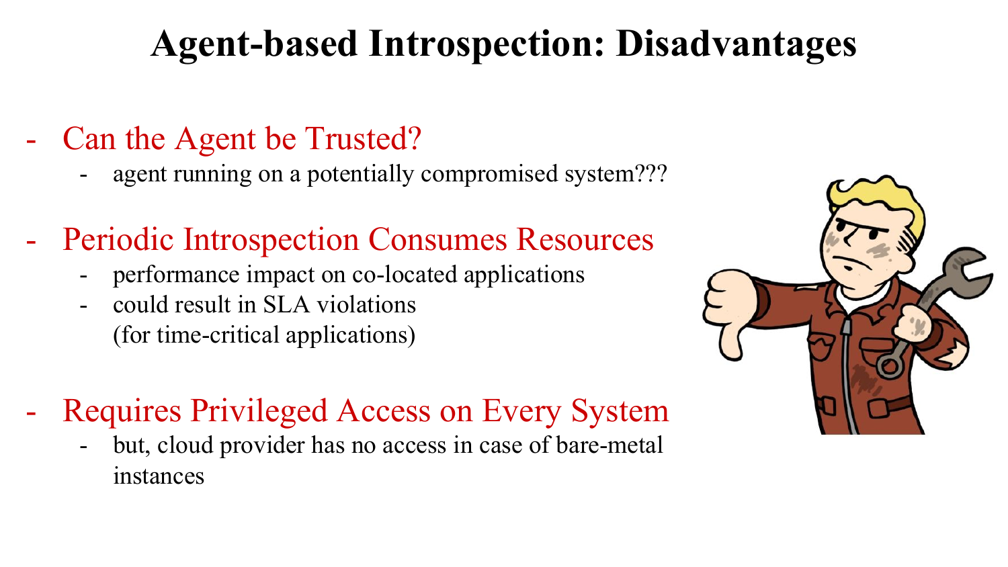### **Agent-based Introspection: Disadvantages**

- Can the Agent be Trusted?
	- agent running on a potentially compromised system???
- Periodic Introspection Consumes Resources
	- performance impact on co-located applications
	- could result in SLA violations (for time-critical applications)
- Requires Privileged Access on Every System
	- but, cloud provider has no access in case of bare-metal instances

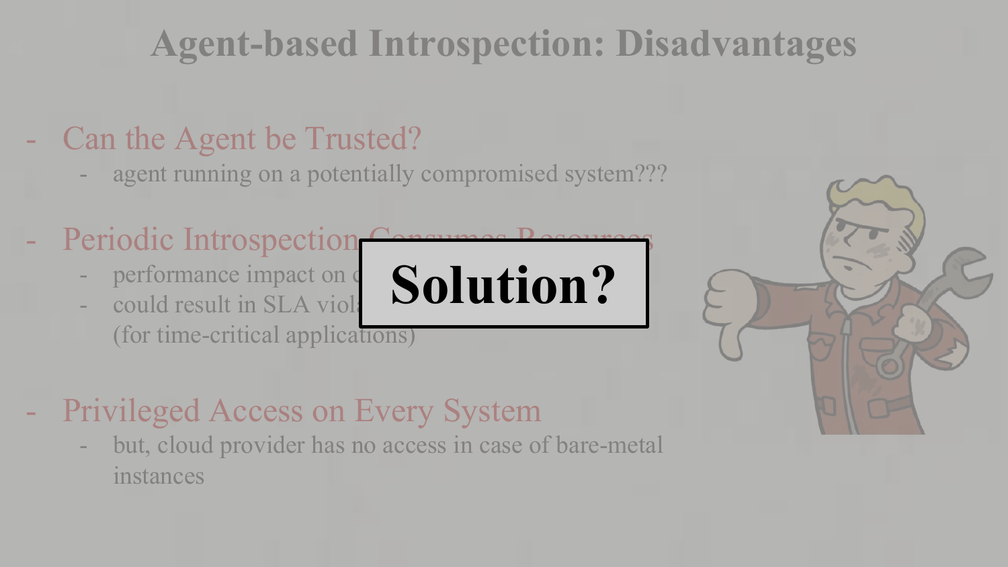## **Agent-based Introspection: Disadvantages**

#### Can the Agent be Trusted?

- agent running on a potentially compromised system???
- Periodic Introspection
	- performance impact on  $\epsilon$
	- could result in SLA viola (for time-critical applications)
- **Solution?**



- Privileged Access on Every System
	- but, cloud provider has no access in case of bare-metal instances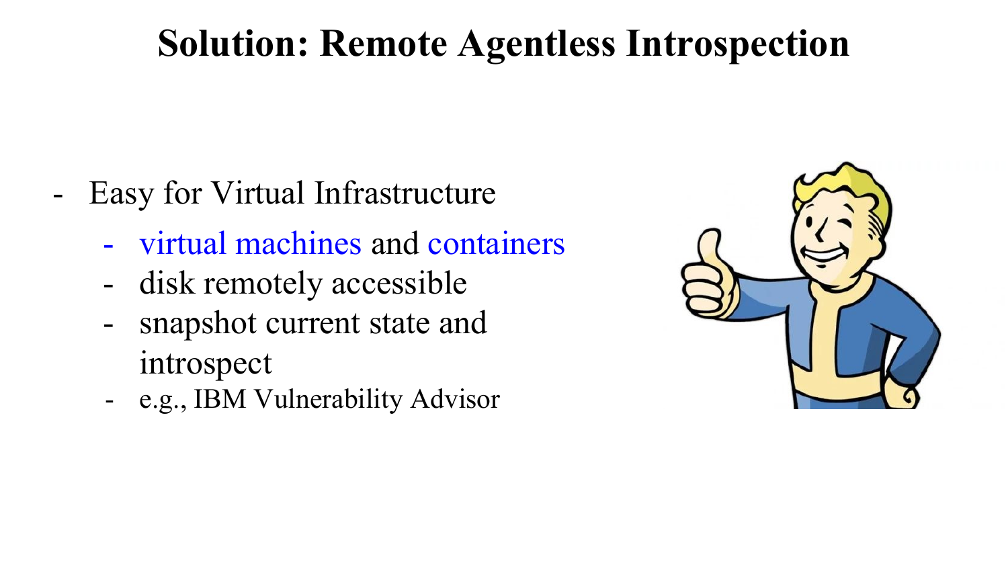#### **Solution: Remote Agentless Introspection**

- Easy for Virtual Infrastructure
	- virtual machines and containers
	- disk remotely accessible
	- snapshot current state and introspect
	- e.g., IBM Vulnerability Advisor

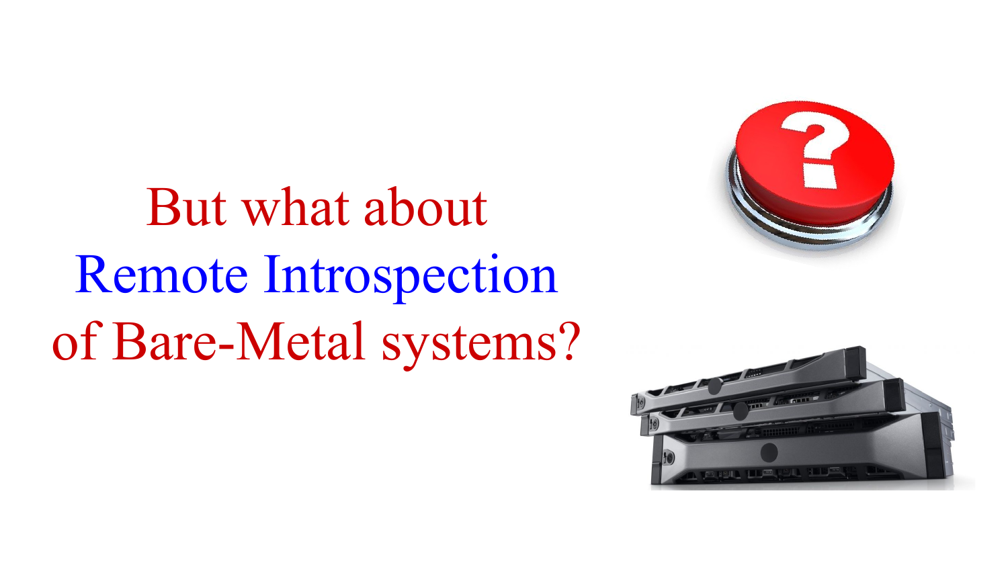# But what about Remote Introspection of Bare-Metal systems?



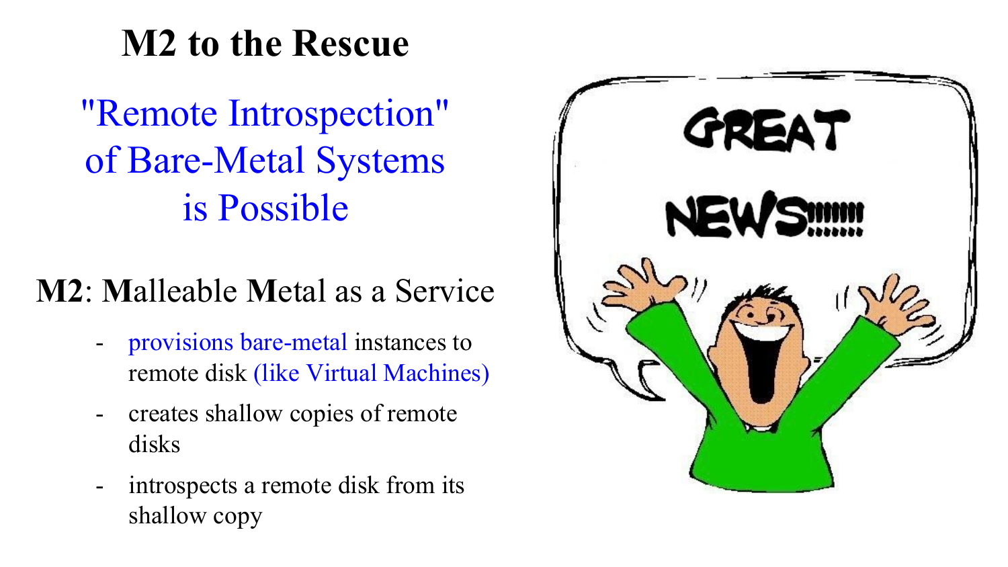#### **M2 to the Rescue**

"Remote Introspection" of Bare-Metal Systems is Possible

#### **M2**: **M**alleable **M**etal as a Service

- provisions bare-metal instances to remote disk (like Virtual Machines)
- creates shallow copies of remote disks
- introspects a remote disk from its shallow copy

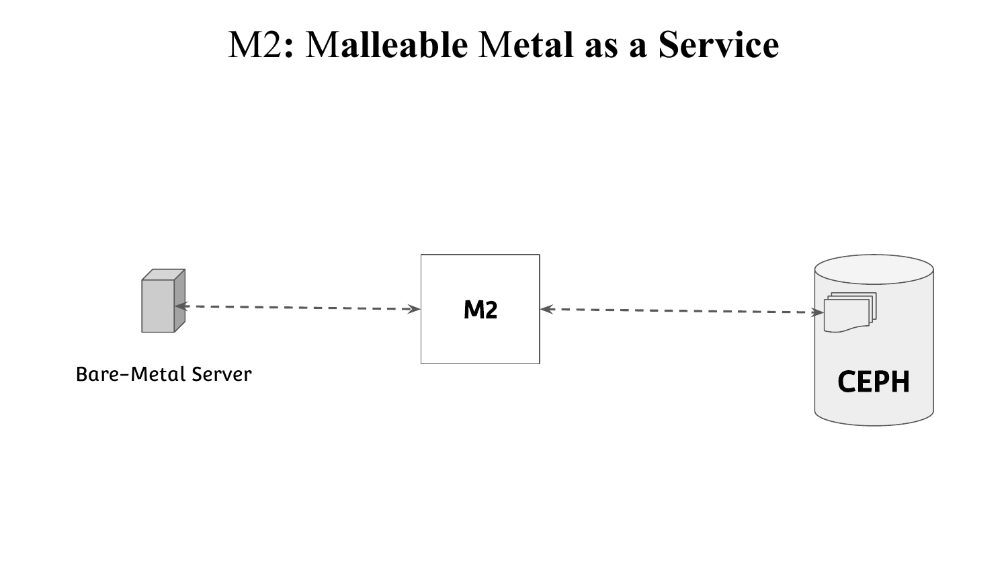#### M2**:** M**alleable** M**etal as a Service**

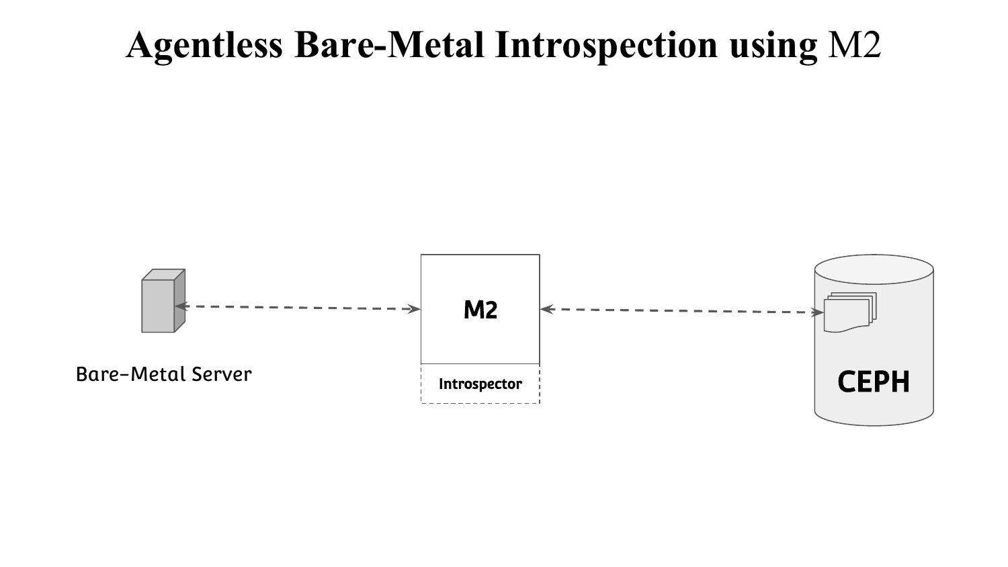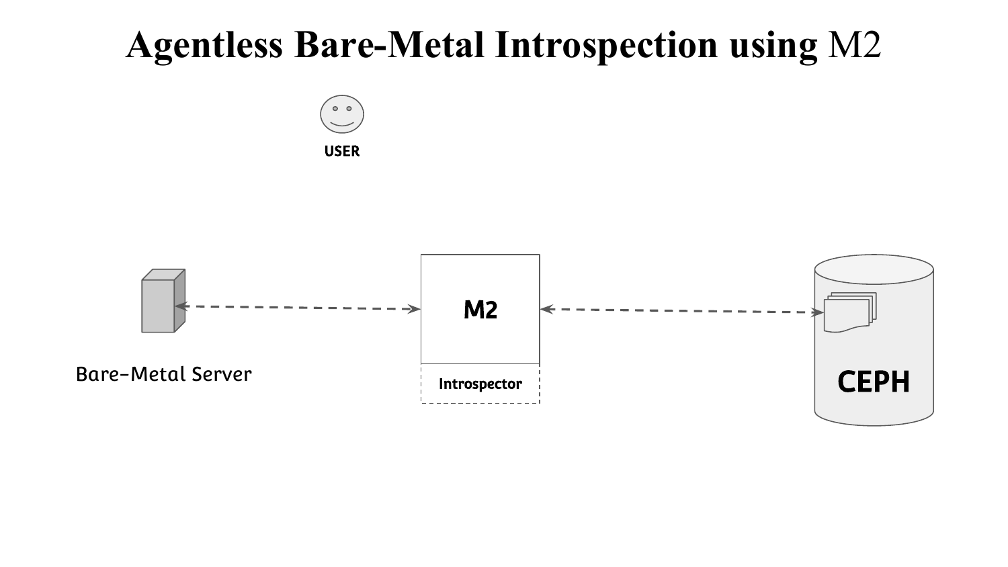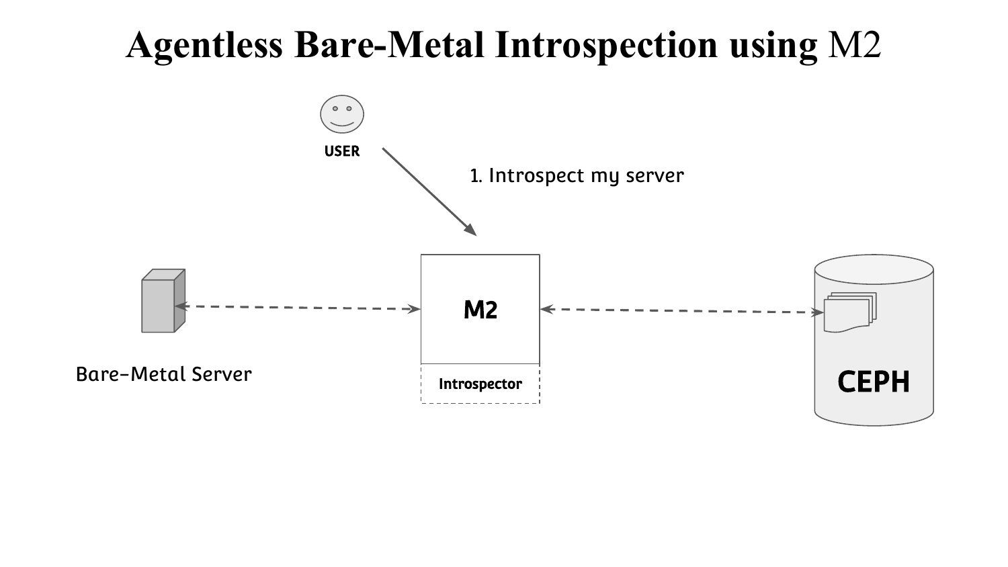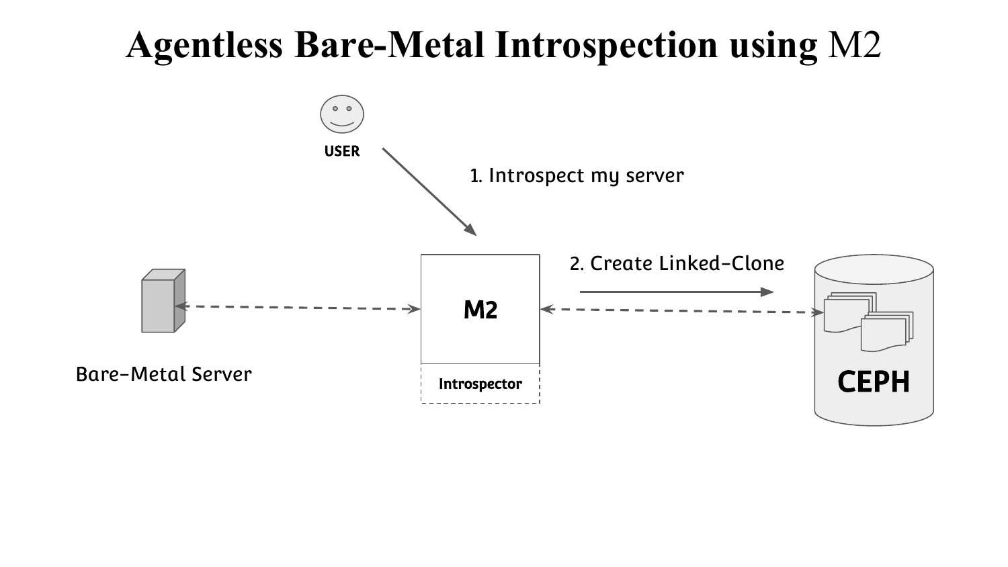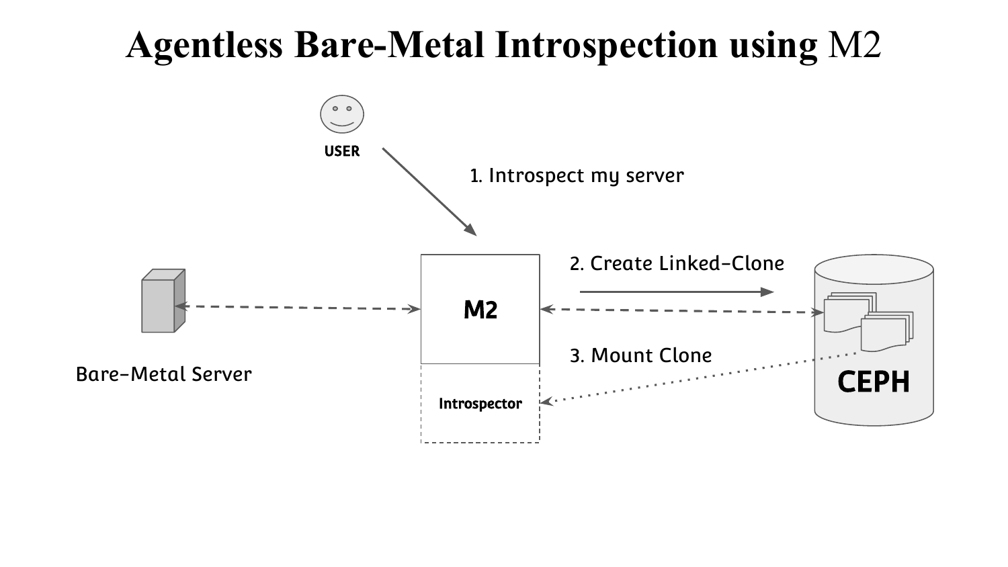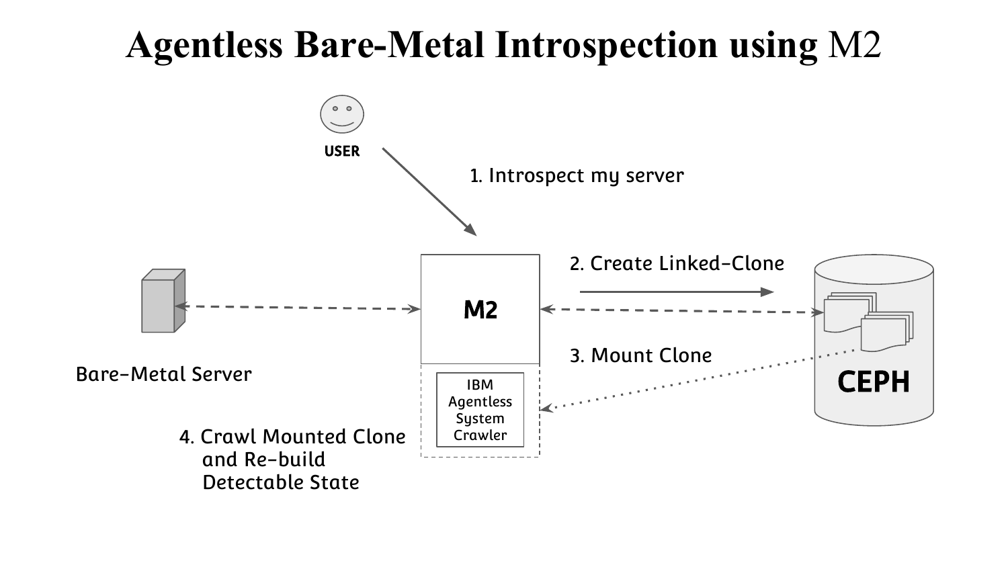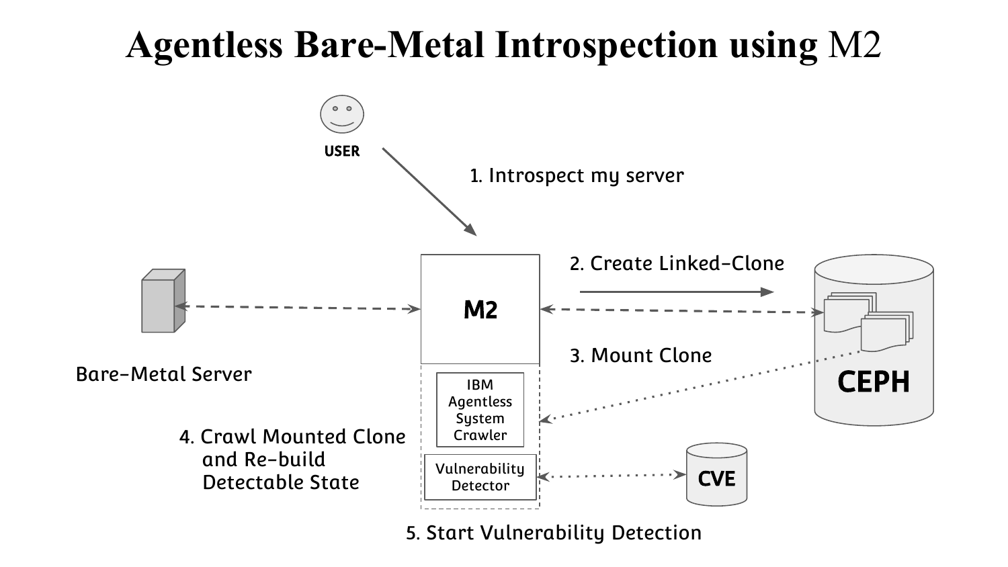

5. Start Vulnerability Detection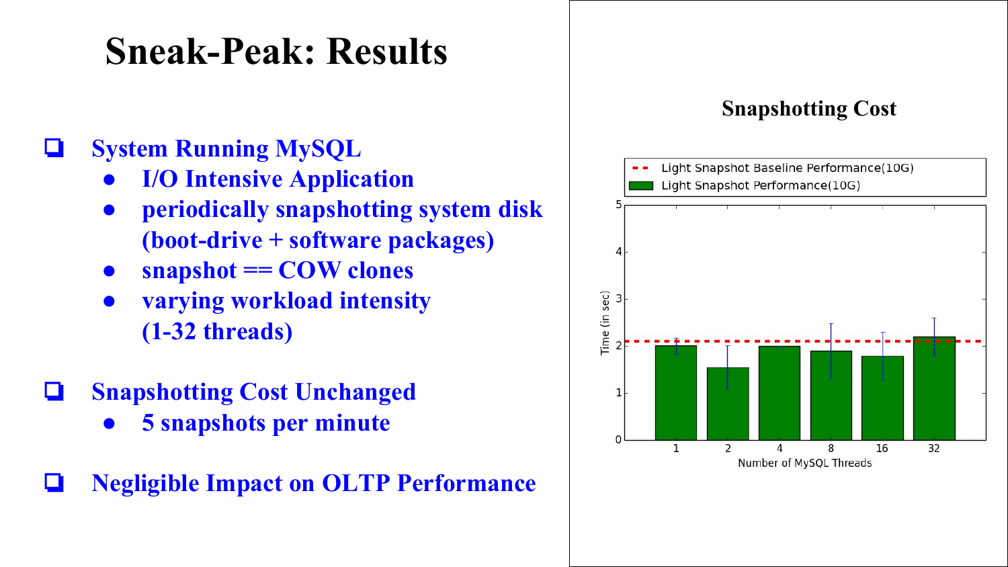#### **Sneak-Peak: Results**

#### ❏ **System Running MySQL**

- **● I/O Intensive Application**
- **● periodically snapshotting system disk (boot-drive + software packages)**
- **● snapshot == COW clones**
- **● varying workload intensity (1-32 threads)**
- ❏ **Snapshotting Cost Unchanged**
	- **● 5 snapshots per minute**
- ❏ **Negligible Impact on OLTP Performance**



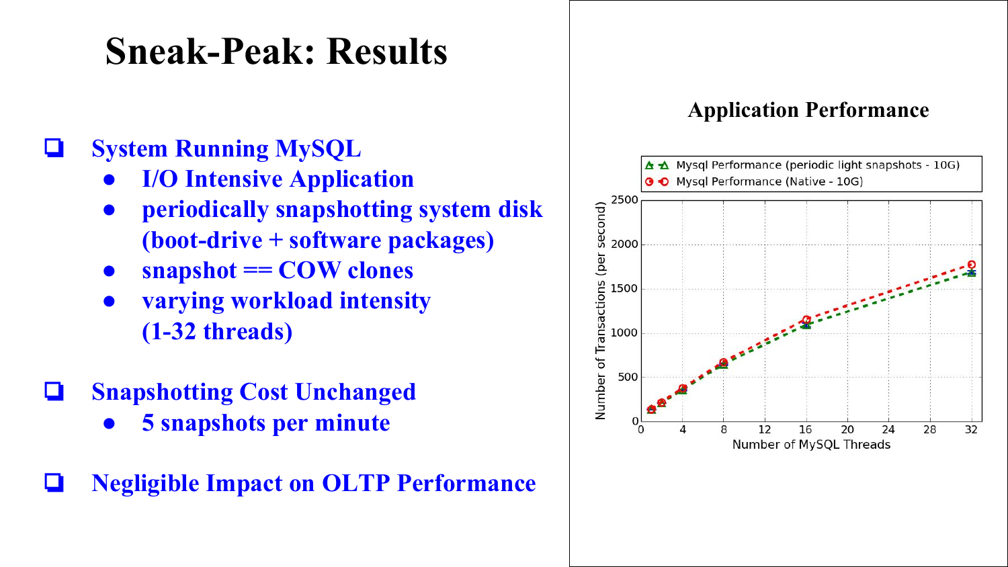#### **Sneak-Peak: Results**

#### ❏ **System Running MySQL**

- **● I/O Intensive Application**
- **● periodically snapshotting system disk (boot-drive + software packages)**
- **● snapshot == COW clones**
- **● varying workload intensity (1-32 threads)**
- ❏ **Snapshotting Cost Unchanged**
	- **● 5 snapshots per minute**
- ❏ **Negligible Impact on OLTP Performance**

#### **Application Performance**

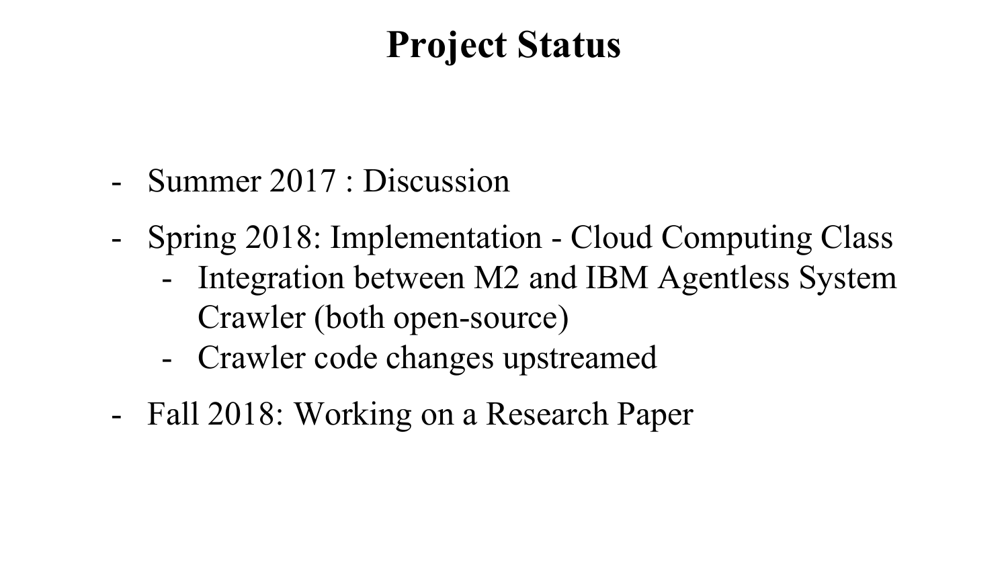#### **Project Status**

- Summer 2017 : Discussion
- Spring 2018: Implementation Cloud Computing Class
	- Integration between M2 and IBM Agentless System Crawler (both open-source)
	- Crawler code changes upstreamed
- Fall 2018: Working on a Research Paper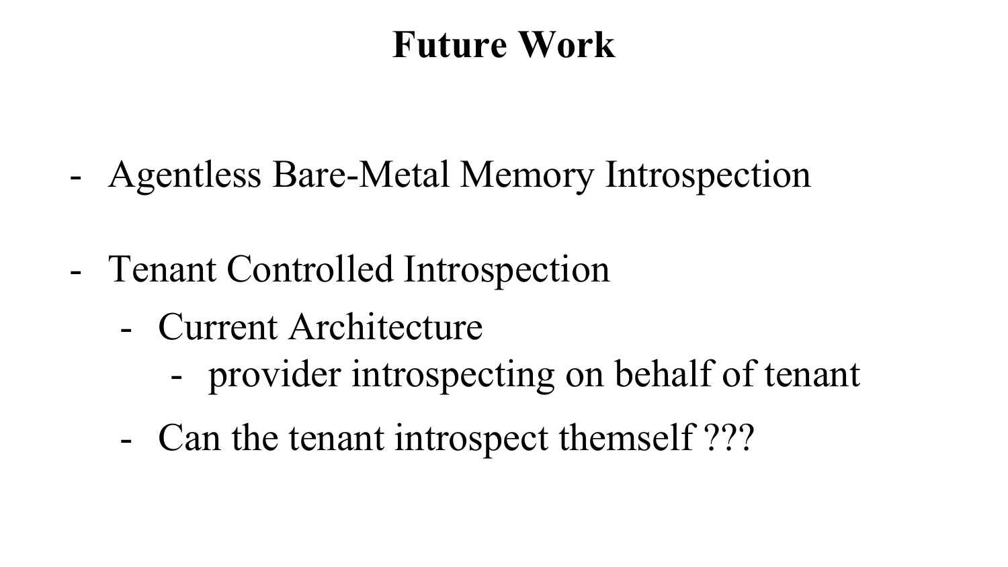#### **Future Work**

- Agentless Bare-Metal Memory Introspection
- Tenant Controlled Introspection
	- Current Architecture
		- provider introspecting on behalf of tenant
	- Can the tenant introspect themself ???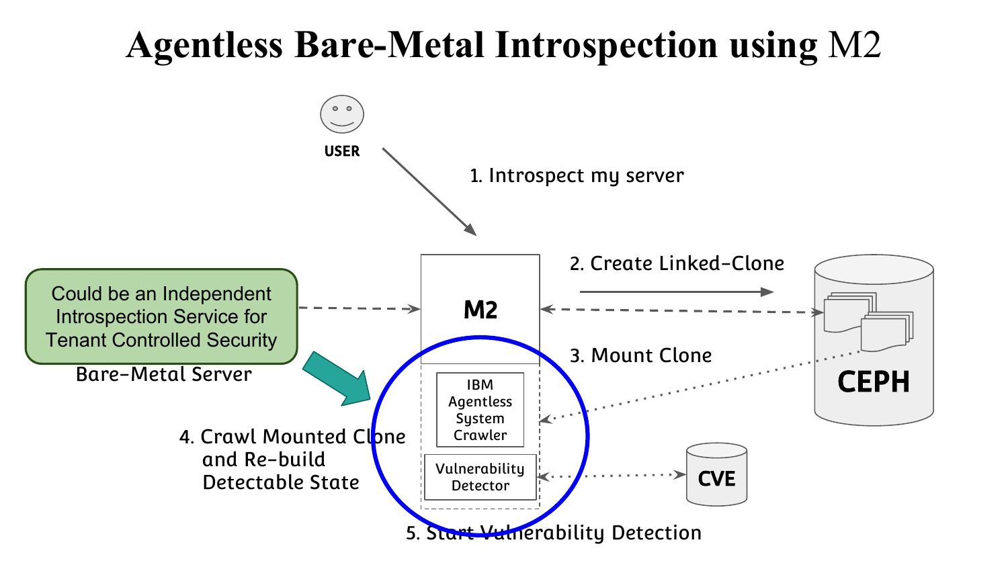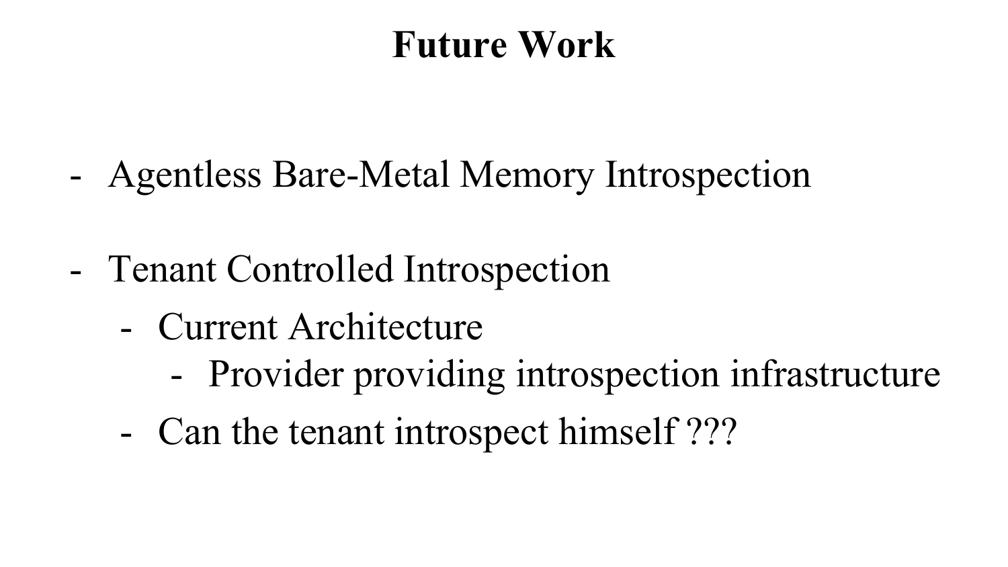#### **Future Work**

- Agentless Bare-Metal Memory Introspection
- Tenant Controlled Introspection
	- Current Architecture
		- Provider providing introspection infrastructure
	- Can the tenant introspect himself ???